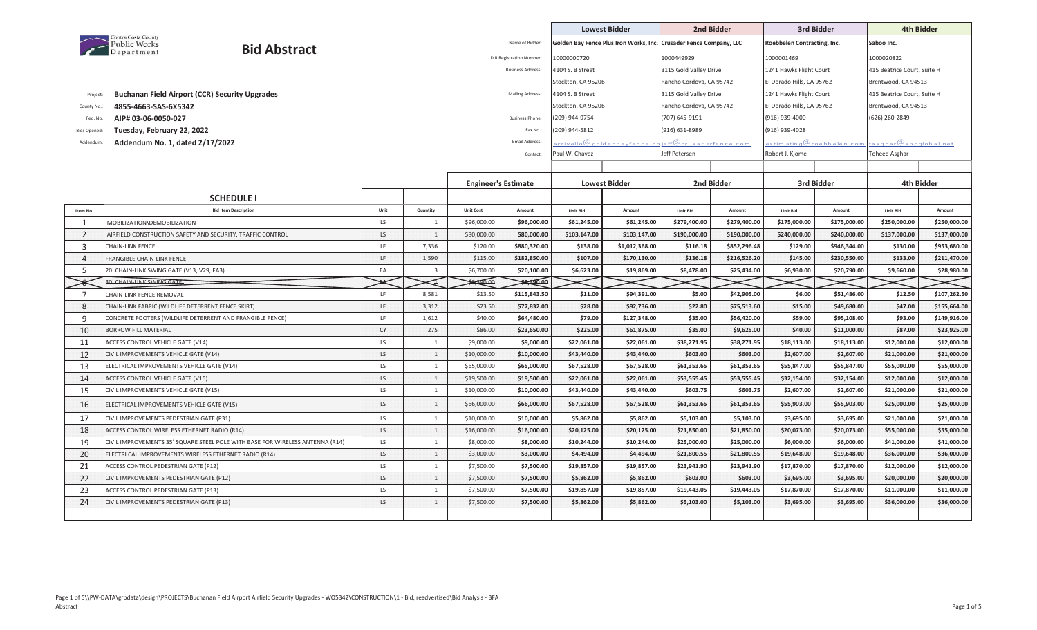|                                |                                                                                           |             |                         |                            |                                |                             | <b>Lowest Bidder</b>                   |                                    | 2nd Bidder                   |                              | 3rd Bidder                         |                                                      | 4th Bidder                 |
|--------------------------------|-------------------------------------------------------------------------------------------|-------------|-------------------------|----------------------------|--------------------------------|-----------------------------|----------------------------------------|------------------------------------|------------------------------|------------------------------|------------------------------------|------------------------------------------------------|----------------------------|
|                                | Contra Costa County<br>Public Works<br>Department                                         |             |                         |                            | Name of Bidder:                |                             | Golden Bay Fence Plus Iron Works, Inc. | <b>Crusader Fence Company, LLC</b> |                              | Roebbelen Contracting, Inc.  |                                    | Saboo Inc.                                           |                            |
|                                | <b>Bid Abstract</b>                                                                       |             |                         |                            | <b>DIR Registration Number</b> | 10000000720                 |                                        | 1000449929                         |                              | 1000001469                   |                                    | 1000020822                                           |                            |
|                                |                                                                                           |             |                         |                            | <b>Business Address:</b>       | 4104 S. B Street            |                                        | 3115 Gold Valley Drive             |                              | 1241 Hawks Flight Court      |                                    | 415 Beatrice Court, Suite H                          |                            |
|                                |                                                                                           |             |                         |                            |                                | Stockton, CA 95206          |                                        | Rancho Cordova, CA 95742           |                              | El Dorado Hills, CA 95762    |                                    | Brentwood, CA 94513                                  |                            |
| Project:                       | <b>Buchanan Field Airport (CCR) Security Upgrades</b>                                     |             |                         |                            | Mailing Address:               | 4104 S. B Street            |                                        | 3115 Gold Valley Drive             |                              | 1241 Hawks Flight Court      |                                    | 415 Beatrice Court, Suite H                          |                            |
| County No.:                    | 4855-4663-SAS-6X5342                                                                      |             |                         |                            |                                | Stockton, CA 95206          |                                        | Rancho Cordova, CA 95742           |                              | El Dorado Hills, CA 95762    |                                    | Brentwood, CA 94513                                  |                            |
| Fed. No.                       | AIP# 03-06-0050-027                                                                       |             |                         |                            | <b>Business Phone:</b>         | (209) 944-9754              |                                        | (707) 645-9191                     |                              | (916) 939-4000               |                                    | (626) 260-2849                                       |                            |
| <b>Bids Opened:</b>            | Tuesday, February 22, 2022                                                                |             |                         |                            | Fax No.:                       | 209) 944-5812               |                                        | (916) 631-8989                     |                              | (916) 939-4028               |                                    |                                                      |                            |
| Addendum:                      | Addendum No. 1, dated 2/17/2022                                                           |             |                         |                            | <b>Email Address</b>           |                             | crivello@qoldenba vfence.c             | eff $@$ crusaderfence.com $~$      |                              |                              | estim at <u>ing</u> @roebbelen.com | :a s g h ar ${\mathcal Q}$ s b c g l o b a l . n e t |                            |
|                                |                                                                                           |             |                         |                            | Contact:                       | Paul W. Chavez              |                                        | Jeff Petersen                      |                              | Robert J. Kjome              |                                    | <b>Toheed Asghar</b>                                 |                            |
|                                |                                                                                           |             |                         |                            |                                |                             |                                        |                                    |                              |                              |                                    |                                                      |                            |
|                                |                                                                                           |             |                         | <b>Engineer's Estimate</b> |                                |                             | <b>Lowest Bidder</b>                   |                                    | 2nd Bidder                   |                              | 3rd Bidder                         |                                                      | 4th Bidder                 |
|                                |                                                                                           |             |                         |                            |                                |                             |                                        |                                    |                              |                              |                                    |                                                      |                            |
|                                | <b>SCHEDULE I</b>                                                                         |             |                         |                            |                                |                             |                                        |                                    |                              |                              |                                    |                                                      |                            |
| Item No.                       | <b>Bid Item Description</b>                                                               | Unit<br>LS. | Quantity<br>1           | <b>Unit Cost</b>           | Amount                         | <b>Unit Bid</b>             | Amount                                 | <b>Unit Bid</b>                    | Amount                       | Unit Bid                     | Amount                             | <b>Unit Bid</b>                                      | Amount<br>\$250,000.00     |
| $\mathbf{1}$<br>$\overline{2}$ | MOBILIZATION\DEMOBILIZATION<br>AIRFIELD CONSTRUCTION SAFETY AND SECURITY, TRAFFIC CONTROL | LS          | $\mathbf{1}$            | \$96,000.00<br>\$80,000.00 | \$96,000.00<br>\$80,000.00     | \$61,245.00<br>\$103,147.00 | \$61,245.00<br>\$103,147.00            | \$279,400.00<br>\$190,000.00       | \$279,400.00<br>\$190,000.00 | \$175,000.00<br>\$240,000.00 | \$175,000.00<br>\$240,000.00       | \$250,000.00<br>\$137,000.00                         | \$137,000.00               |
| 3                              | <b>CHAIN-LINK FENCE</b>                                                                   | LF          | 7,336                   | \$120.00                   | \$880,320.00                   | \$138.00                    | \$1,012,368.00                         | \$116.18                           | \$852,296.48                 | \$129.00                     | \$946,344.00                       | \$130.00                                             | \$953,680.00               |
| $\overline{4}$                 | <b>FRANGIBLE CHAIN-LINK FENCE</b>                                                         | LF          | 1,590                   | \$115.00                   | \$182,850.00                   | \$107.00                    | \$170,130.00                           | \$136.18                           | \$216,526.20                 | \$145.00                     | \$230,550.00                       | \$133.00                                             | \$211,470.00               |
| .5                             | 20' CHAIN-LINK SWING GATE (V13, V29, FA3)                                                 | EA          | $\overline{\mathbf{3}}$ | \$6,700.00                 | \$20,100.00                    | \$6,623.00                  | \$19,869.00                            | \$8,478.00                         | \$25,434.00                  | \$6,930.00                   | \$20,790.00                        | \$9,660.00                                           | \$28,980.00                |
|                                |                                                                                           |             |                         |                            |                                |                             |                                        |                                    |                              |                              |                                    |                                                      |                            |
|                                |                                                                                           |             |                         |                            |                                |                             |                                        |                                    |                              |                              |                                    |                                                      |                            |
|                                | 30' CHAIN-LINK SWING GATE                                                                 |             |                         | 90.00                      | \$8,290.00                     |                             |                                        |                                    |                              |                              |                                    |                                                      |                            |
| 7                              | CHAIN-LINK FENCE REMOVAL                                                                  | LF.         | 8,581                   | \$13.50                    | \$115,843.50                   | \$11.00                     | \$94,391.00                            | \$5.00                             | \$42,905.00                  | \$6.00                       | \$51,486.00                        | \$12.50                                              | \$107,262.50               |
| 8<br>9                         | CHAIN-LINK FABRIC (WILDLIFE DETERRENT FENCE SKIRT)                                        | LF.<br>LF   | 3,312                   | \$23.50                    | \$77,832.00                    | \$28.00                     | \$92,736.00                            | \$22.80                            | \$75,513.60                  | \$15.00                      | \$49,680.00                        | \$47.00                                              | \$155,664.00               |
|                                | CONCRETE FOOTERS (WILDLIFE DETERRENT AND FRANGIBLE FENCE)<br><b>BORROW FILL MATERIAL</b>  | CY          | 1,612                   | \$40.00                    | \$64,480.00                    | \$79.00                     | \$127,348.00                           | \$35.00                            | \$56,420.00                  | \$59.00                      | \$95,108.00                        | \$93.00                                              | \$149,916.00               |
| 10<br>11                       | <b>ACCESS CONTROL VEHICLE GATE (V14)</b>                                                  | LS.         | 275<br>1                | \$86.00<br>\$9,000.00      | \$23,650.00<br>\$9,000.00      | \$225.00<br>\$22,061.00     | \$61,875.00<br>\$22,061.00             | \$35.00<br>\$38,271.95             | \$9,625.00<br>\$38,271.95    | \$40.00<br>\$18,113.00       | \$11,000.00<br>\$18,113.00         | \$87.00<br>\$12,000.00                               | \$23,925.00<br>\$12,000.00 |
| 12                             | CIVIL IMPROVEMENTS VEHICLE GATE (V14)                                                     | LS          | 1                       | \$10,000.00                | \$10,000.00                    | \$43,440.00                 | \$43,440.00                            | \$603.00                           | \$603.00                     | \$2,607.00                   | \$2,607.00                         | \$21,000.00                                          | \$21,000.00                |
| 13                             | ELECTRICAL IMPROVEMENTS VEHICLE GATE (V14)                                                | LS          | $\mathbf{1}$            | \$65,000.00                | \$65,000.00                    | \$67,528.00                 | \$67,528.00                            | \$61,353.65                        | \$61,353.65                  | \$55,847.00                  | \$55,847.00                        | \$55,000.00                                          | \$55,000.00                |
| 14                             | ACCESS CONTROL VEHICLE GATE (V15)                                                         | LS          | $\mathbf{1}$            | \$19,500.00                | \$19,500.00                    | \$22,061.00                 | \$22,061.00                            | \$53,555.45                        | \$53,555.45                  | \$32,154.00                  | \$32,154.00                        | \$12,000.00                                          | \$12,000.00                |
| 15                             | CIVIL IMPROVEMENTS VEHICLE GATE (V15)                                                     | LS          | $\mathbf{1}$            | \$10,000.00                | \$10,000.00                    | \$43,440.00                 | \$43,440.00                            | \$603.75                           | \$603.75                     | \$2,607.00                   | \$2,607.00                         | \$21,000.00                                          | \$21,000.00                |
| 16                             | ELECTRICAL IMPROVEMENTS VEHICLE GATE (V15)                                                | LS          | $\mathbf{1}$            | \$66,000.00                | \$66,000.00                    | \$67,528.00                 | \$67,528.00                            | \$61,353.65                        | \$61,353.65                  | \$55,903.00                  | \$55,903.00                        | \$25,000.00                                          | \$25,000.00                |
| 17                             | CIVIL IMPROVEMENTS PEDESTRIAN GATE (P31)                                                  | LS          | $\mathbf{1}$            | \$10,000.00                | \$10,000.00                    | \$5,862.00                  | \$5,862.00                             | \$5,103.00                         | \$5,103.00                   | \$3,695.00                   | \$3,695.00                         | \$21,000.00                                          | \$21,000.00                |
| 18                             | ACCESS CONTROL WIRELESS ETHERNET RADIO (R14)                                              | LS          | 1                       | \$16,000.00                | \$16,000.00                    | \$20,125.00                 | \$20,125.00                            | \$21,850.00                        | \$21,850.00                  | \$20,073.00                  | \$20,073.00                        | \$55,000.00                                          | \$55,000.00                |
| 19                             | CIVIL IMPROVEMENTS 35' SQUARE STEEL POLE WITH BASE FOR WIRELESS ANTENNA (R14)             | LS.         | $\mathbf{1}$            | \$8,000.00                 | \$8,000.00                     | \$10,244.00                 | \$10,244.00                            | \$25,000.00                        | \$25,000.00                  | \$6,000.00                   | \$6,000.00                         | \$41,000.00                                          | \$41,000.00                |
| 20                             | ELECTRI CAL IMPROVEMENTS WIRELESS ETHERNET RADIO (R14)                                    | LS          | 1                       | \$3,000.00                 | \$3,000.00                     | \$4,494.00                  | \$4,494.00                             | \$21,800.55                        | \$21,800.55                  | \$19,648.00                  | \$19,648.00                        | \$36,000.00                                          | \$36,000.00                |
| 21                             | ACCESS CONTROL PEDESTRIAN GATE (P12)                                                      | LS          | $\mathbf{1}$            | \$7,500.00                 | \$7,500.00                     | \$19,857.00                 | \$19,857.00                            | \$23,941.90                        | \$23,941.90                  | \$17,870.00                  | \$17,870.00                        | \$12,000.00                                          | \$12,000.00                |
| 22                             | CIVIL IMPROVEMENTS PEDESTRIAN GATE (P12)                                                  | LS          | $\mathbf{1}$            | \$7,500.00                 | \$7,500.00                     | \$5,862.00                  | \$5,862.00                             | \$603.00                           | \$603.00                     | \$3,695.00                   | \$3,695.00                         | \$20,000.00                                          | \$20,000.00                |
| 23                             | ACCESS CONTROL PEDESTRIAN GATE (P13)                                                      | LS.         | $\mathbf{1}$            | \$7,500.00                 | \$7,500.00                     | \$19,857.00                 | \$19,857.00                            | \$19,443.05                        | \$19,443.05                  | \$17,870.00                  | \$17,870.00                        | \$11,000.00                                          | \$11,000.00                |
| 24                             | CIVIL IMPROVEMENTS PEDESTRIAN GATE (P13)                                                  | LS          | $\mathbf{1}$            | \$7,500.00                 | \$7,500.00                     | \$5,862.00                  | \$5,862.00                             | \$5,103.00                         | \$5,103.00                   | \$3,695.00                   | \$3,695.00                         | \$36,000.00                                          | \$36,000.00                |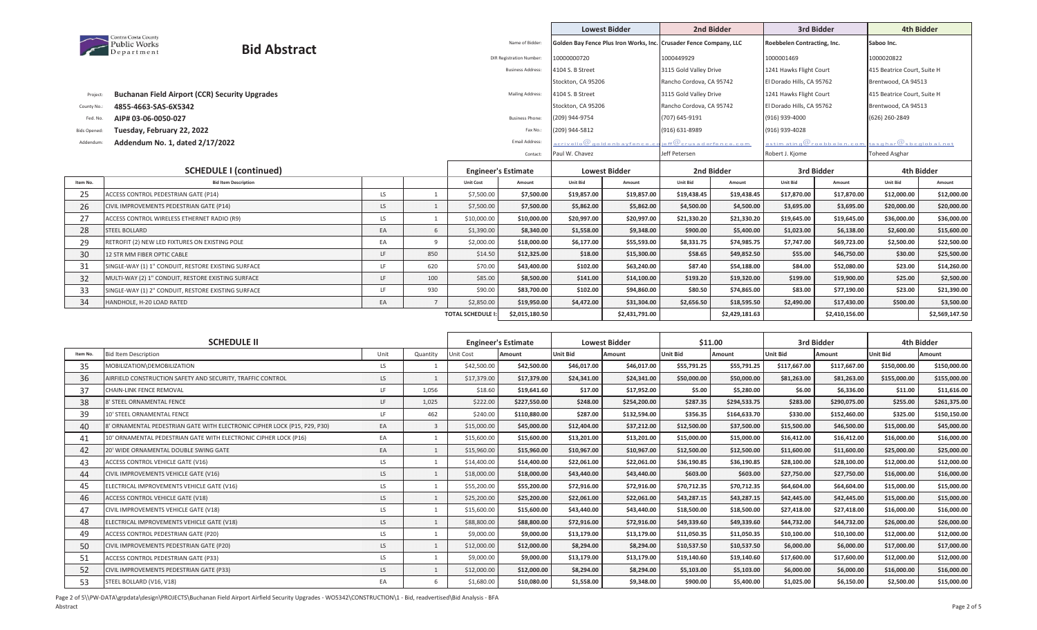|                     |                                                          |                             |                |                |                  |                                 |                    | <b>Lowest Bidder</b>                                               | 2nd Bidder                      |             |                             | 3rd Bidder                                                                    | <b>4th Bidder</b>           |             |
|---------------------|----------------------------------------------------------|-----------------------------|----------------|----------------|------------------|---------------------------------|--------------------|--------------------------------------------------------------------|---------------------------------|-------------|-----------------------------|-------------------------------------------------------------------------------|-----------------------------|-------------|
|                     | Contra Costa County<br><b>Public Works</b><br>Department | <b>Bid Abstract</b>         |                |                |                  | Name of Bidder:                 |                    | Golden Bay Fence Plus Iron Works, Inc. Crusader Fence Company, LLC |                                 |             | Roebbelen Contracting, Inc. |                                                                               | Saboo Inc.                  |             |
|                     |                                                          |                             |                |                |                  | <b>DIR Registration Number:</b> | 10000000720        |                                                                    | 1000449929                      |             | 1000001469                  |                                                                               | 1000020822                  |             |
|                     |                                                          |                             |                |                |                  | <b>Business Address:</b>        | 4104 S. B Street   |                                                                    | 3115 Gold Valley Drive          |             | 1241 Hawks Flight Court     |                                                                               | 415 Beatrice Court, Suite H |             |
|                     |                                                          |                             |                |                |                  |                                 | Stockton, CA 95206 |                                                                    | Rancho Cordova, CA 95742        |             | El Dorado Hills, CA 95762   |                                                                               | Brentwood, CA 94513         |             |
| Project:            | <b>Buchanan Field Airport (CCR) Security Upgrades</b>    |                             |                |                |                  | Mailing Address:                | 4104 S. B Street   |                                                                    | 3115 Gold Valley Drive          |             | 1241 Hawks Flight Court     |                                                                               | 415 Beatrice Court, Suite H |             |
| County No.:         | 4855-4663-SAS-6X5342                                     |                             |                |                |                  |                                 | Stockton, CA 95206 |                                                                    | Rancho Cordova, CA 95742        |             | El Dorado Hills, CA 95762   |                                                                               | Brentwood, CA 94513         |             |
| Fed. No.            | AIP# 03-06-0050-027                                      |                             |                |                |                  | <b>Business Phone:</b>          | (209) 944-9754     |                                                                    | (707) 645-9191                  |             | (916) 939-4000              |                                                                               | (626) 260-2849              |             |
| <b>Bids Opened:</b> | Tuesday, February 22, 2022                               |                             |                |                |                  | Fax No.:                        | (209) 944-5812     |                                                                    | (916) 631-8989                  |             | (916) 939-4028              |                                                                               |                             |             |
| Addendum:           | Addendum No. 1, dated 2/17/2022                          |                             |                |                |                  | <b>Email Address</b>            |                    | crivello @ modelenba vfence. Co                                    | eff@crusad <u>erference.com</u> |             |                             | $\mathsf{a}$ stim atin q $@$ roebbelen.com $\vert$ ta sqhar $@$ sbcqlobal.net |                             |             |
|                     |                                                          |                             |                |                |                  | Contact:                        | Paul W. Chavez     |                                                                    | Jeff Petersen                   |             | Robert J. Kjome             |                                                                               | Toheed Asghar               |             |
|                     | <b>SCHEDULE I (continued)</b>                            |                             |                |                |                  | <b>Engineer's Estimate</b>      |                    | <b>Lowest Bidder</b>                                               | 2nd Bidder                      |             |                             | 3rd Bidder                                                                    |                             | 4th Bidder  |
| Item No.            |                                                          | <b>Bid Item Description</b> |                |                | <b>Unit Cost</b> | Amount                          | <b>Unit Bid</b>    | Amount                                                             | <b>Unit Bid</b>                 | Amount      | <b>Unit Bid</b>             | Amount                                                                        | <b>Unit Bid</b>             | Amount      |
| 25                  | ACCESS CONTROL PEDESTRIAN GATE (P14)                     |                             | LS.            | $\mathbf{1}$   | \$7,500.00       | \$7,500.00                      | \$19,857.00        | \$19,857.00                                                        | \$19,438.45                     | \$19,438.45 | \$17,870.00                 | \$17,870.00                                                                   | \$12,000.00                 | \$12,000.00 |
| 26                  | CIVIL IMPROVEMENTS PEDESTRIAN GATE (P14)                 |                             | LS.            | $\mathbf{1}$   | \$7,500.00       | \$7,500.00                      | \$5,862.00         | \$5,862.00                                                         | \$4,500.00                      | \$4,500.00  | \$3,695.00                  | \$3,695.00                                                                    | \$20,000.00                 | \$20,000.00 |
| 27                  | ACCESS CONTROL WIRELESS ETHERNET RADIO (R9)              |                             | LS.            |                | \$10,000.00      | \$10,000.00                     | \$20,997.00        | \$20,997.00                                                        | \$21,330.20                     | \$21,330.20 | \$19,645.00                 | \$19,645.00                                                                   | \$36,000.00                 | \$36,000.00 |
| 28                  | <b>STEEL BOLLARD</b>                                     |                             | EA             | 6              | \$1,390.00       | \$8,340.00                      | \$1,558.00         | \$9,348.00                                                         | \$900.00                        | \$5,400.00  | \$1,023.00                  | \$6,138.00                                                                    | \$2,600.00                  | \$15,600.00 |
| 29                  | RETROFIT (2) NEW LED FIXTURES ON EXISTING POLE           |                             | EA             | 9              | \$2,000.00       | \$18,000.00                     | \$6,177.00         | \$55,593.00                                                        | \$8,331.75                      | \$74,985.75 | \$7,747.00                  | \$69,723.00                                                                   | \$2,500.00                  | \$22,500.00 |
| 30                  | 12 STR MM FIBER OPTIC CABLE                              |                             | LF.            | 850            | \$14.50          | \$12,325.00                     | \$18.00            | \$15,300.00                                                        | \$58.65                         | \$49,852.50 | \$55.00                     | \$46,750.00                                                                   | \$30.00                     | \$25,500.00 |
| 31                  | SINGLE-WAY (1) 1" CONDUIT, RESTORE EXISTING SURFACE      |                             | LF.            | 620            | \$70.00          | \$43,400.00                     | \$102.00           | \$63,240.00                                                        | \$87.40                         | \$54,188.00 | \$84.00                     | \$52,080.00                                                                   | \$23.00                     | \$14,260.00 |
| 32                  | MULTI-WAY (2) 1" CONDUIT, RESTORE EXISTING SURFACE       |                             | LF.            | 100            | \$85.00          | \$8,500.00                      | \$141.00           | \$14,100.00                                                        | \$193.20                        | \$19,320.00 | \$199.00                    | \$19,900.00                                                                   | \$25.00                     | \$2,500.00  |
| 33                  | SINGLE-WAY (1) 2" CONDUIT, RESTORE EXISTING SURFACE      |                             | LF.            | 930            | \$90.00          | \$83,700.00                     | \$102.00           | \$94,860.00                                                        | \$80.50                         | \$74,865.00 | \$83.00                     | \$77,190.00                                                                   | \$23.00                     | \$21,390.00 |
| 34                  | HANDHOLE, H-20 LOAD RATED                                |                             | EA             | $\overline{7}$ | \$2,850.00       | \$19,950.00                     | \$4,472.00         | \$31,304.00                                                        | \$2,656.50                      | \$18,595.50 | \$2,490.00                  | \$17,430.00                                                                   | \$500.00                    | \$3,500.00  |
|                     |                                                          | <b>TOTAL SCHEDULE I</b>     | \$2,015,180.50 |                | \$2,431,791.00   |                                 | \$2,429,181.63     |                                                                    | \$2,410,156.00                  |             | \$2,569,147.50              |                                                                               |                             |             |

|          | <b>SCHEDULE II</b>                                                        |      |          | <b>Engineer's Estimate</b> |              | <b>Lowest Bidder</b> |              | \$11.00         |              | 3rd Bidder      |              | 4th Bidder   |              |
|----------|---------------------------------------------------------------------------|------|----------|----------------------------|--------------|----------------------|--------------|-----------------|--------------|-----------------|--------------|--------------|--------------|
| Item No. | <b>Bid Item Description</b>                                               | Unit | Quantity | Unit Cost                  | Amount       | Unit Bid             | Amount       | <b>Unit Bid</b> | Amount       | <b>Unit Bid</b> | Amount       | Unit Bid     | Amount       |
| 35       | MOBILIZATION\DEMOBILIZATION                                               | LS.  |          | \$42,500.00                | \$42,500.00  | \$46,017.00          | \$46,017.00  | \$55,791.25     | \$55,791.25  | \$117,667.00    | \$117,667.00 | \$150,000.00 | \$150,000.00 |
| 36       | AIRFIELD CONSTRUCTION SAFETY AND SECURITY, TRAFFIC CONTROL                | LS.  |          | \$17,379.00                | \$17,379.00  | \$24,341.00          | \$24,341.00  | \$50,000.00     | \$50,000.00  | \$81,263.00     | \$81,263.00  | \$155,000.00 | \$155,000.00 |
| 37       | <b>CHAIN-LINK FENCE REMOVAL</b>                                           | LF.  | 1,056    | \$18.60                    | \$19,641.60  | \$17.00              | \$17,952.00  | \$5.00          | \$5,280.00   | \$6.00          | \$6,336.00   | \$11.00      | \$11,616.00  |
| 38       | 8' STEEL ORNAMENTAL FENCE                                                 | LF.  | 1,025    | \$222.00                   | \$227,550.00 | \$248.00             | \$254,200.00 | \$287.35        | \$294,533.75 | \$283.00        | \$290,075.00 | \$255.00     | \$261,375.00 |
| 39       | 10' STEEL ORNAMENTAL FENCE                                                | LF.  | 462      | \$240.00                   | \$110,880.00 | \$287.00             | \$132,594.00 | \$356.35        | \$164,633.70 | \$330.00        | \$152,460.00 | \$325.00     | \$150,150.00 |
| 40       | 8' ORNAMENTAL PEDESTRIAN GATE WITH ELECTRONIC CIPHER LOCK (P15, P29, P30) | EA   | 3        | \$15,000.00                | \$45,000.00  | \$12,404.00          | \$37,212.00  | \$12,500.00     | \$37,500.00  | \$15,500.00     | \$46,500.00  | \$15,000.00  | \$45,000.00  |
| 41       | 10' ORNAMENTAL PEDESTRIAN GATE WITH ELECTRONIC CIPHER LOCK (P16)          | EA   |          | \$15,600.00                | \$15,600.00  | \$13,201.00          | \$13,201.00  | \$15,000.00     | \$15,000.00  | \$16,412.00     | \$16,412.00  | \$16,000.00  | \$16,000.00  |
| 42       | 20' WIDE ORNAMENTAL DOUBLE SWING GATE                                     | EA   |          | \$15,960.00                | \$15,960.00  | \$10,967.00          | \$10,967.00  | \$12,500.00     | \$12,500.00  | \$11,600.00     | \$11,600.00  | \$25,000.00  | \$25,000.00  |
| 43       | ACCESS CONTROL VEHICLE GATE (V16)                                         | LS.  |          | \$14,400.00                | \$14,400.00  | \$22,061.00          | \$22,061.00  | \$36,190.85     | \$36,190.85  | \$28,100.00     | \$28,100.00  | \$12,000.00  | \$12,000.00  |
| 44       | CIVIL IMPROVEMENTS VEHICLE GATE (V16)                                     | LS.  |          | \$18,000.00                | \$18,000.00  | \$43,440.00          | \$43,440.00  | \$603.00        | \$603.00     | \$27,750.00     | \$27,750.00  | \$16,000.00  | \$16,000.00  |
| 45       | ELECTRICAL IMPROVEMENTS VEHICLE GATE (V16)                                | LS.  |          | \$55,200.00                | \$55,200.00  | \$72,916.00          | \$72,916.00  | \$70,712.35     | \$70,712.35  | \$64,604.00     | \$64,604.00  | \$15,000.00  | \$15,000.00  |
| 46       | ACCESS CONTROL VEHICLE GATE (V18)                                         | LS   |          | \$25,200.00                | \$25,200.00  | \$22,061.00          | \$22,061.00  | \$43,287.15     | \$43,287.15  | \$42,445.00     | \$42,445.00  | \$15,000.00  | \$15,000.00  |
| 47       | CIVIL IMPROVEMENTS VEHICLE GATE (V18)                                     | LS.  |          | \$15,600.00                | \$15,600.00  | \$43,440.00          | \$43,440.00  | \$18,500.00     | \$18,500.00  | \$27,418.00     | \$27,418.00  | \$16,000.00  | \$16,000.00  |
| 48       | ELECTRICAL IMPROVEMENTS VEHICLE GATE (V18)                                | LS   |          | \$88,800.00                | \$88,800.00  | \$72,916.00          | \$72,916.00  | \$49,339.60     | \$49,339.60  | \$44,732.00     | \$44,732.00  | \$26,000.00  | \$26,000.00  |
| 49       | ACCESS CONTROL PEDESTRIAN GATE (P20)                                      | LS.  |          | \$9,000.00                 | \$9,000.00   | \$13,179.00          | \$13,179.00  | \$11,050.35     | \$11,050.35  | \$10,100.00     | \$10,100.00  | \$12,000.00  | \$12,000.00  |
| 50       | CIVIL IMPROVEMENTS PEDESTRIAN GATE (P20)                                  | LS.  |          | \$12,000.00                | \$12,000.00  | \$8,294.00           | \$8,294.00   | \$10,537.50     | \$10,537.50  | \$6,000.00      | \$6,000.00   | \$17,000.00  | \$17,000.00  |
| 51       | ACCESS CONTROL PEDESTRIAN GATE (P33)                                      | LS.  |          | \$9,000.00                 | \$9,000.00   | \$13,179.00          | \$13,179.00  | \$19,140.60     | \$19,140.60  | \$17,600.00     | \$17,600.00  | \$12,000.00  | \$12,000.00  |
| 52       | CIVIL IMPROVEMENTS PEDESTRIAN GATE (P33)                                  | LS.  |          | \$12,000.00                | \$12,000.00  | \$8,294.00           | \$8,294.00   | \$5,103.00      | \$5,103.00   | \$6,000.00      | \$6,000.00   | \$16,000.00  | \$16,000.00  |
| 53       | STEEL BOLLARD (V16, V18)                                                  | EA   | -6       | \$1,680.00                 | \$10,080.00  | \$1,558.00           | \$9,348.00   | \$900.00        | \$5,400.00   | \$1,025.00      | \$6,150.00   | \$2,500.00   | \$15,000.00  |

Page 2 of 5\\PW-DATA\grpdata\design\PROJECTS\Buchanan Field Airport Airfield Security Upgrades - WO5342\CONSTRUCTION\1 - Bid, readvertised\Bid Analysis - BFA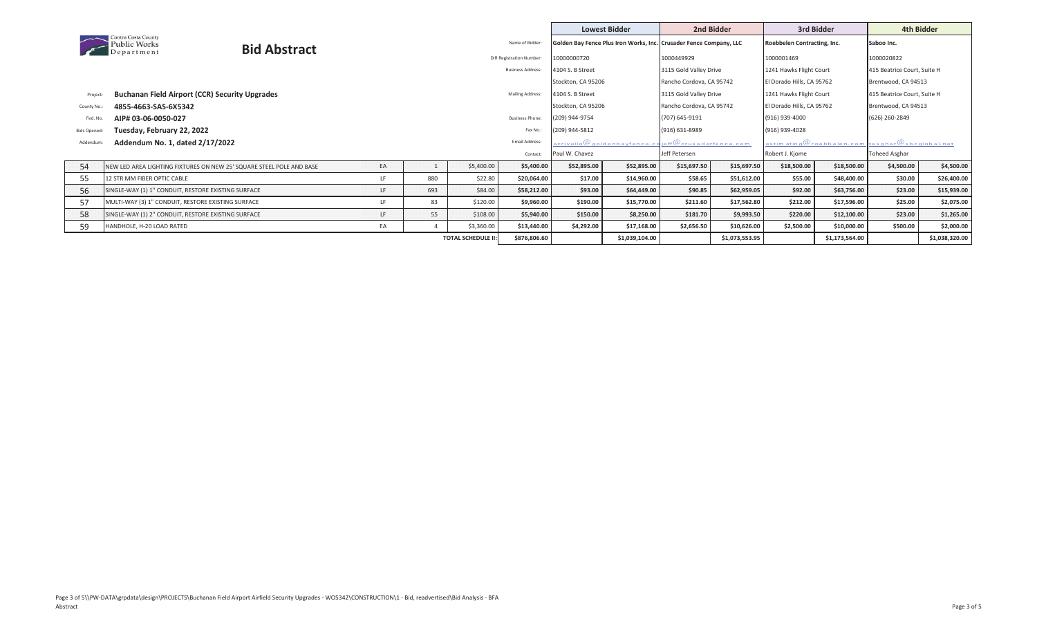|                     |                                                                      |                          |              |     |                |                                 |                    | <b>Lowest Bidder</b>                                                                     |                               | 2nd Bidder  |                             | 3rd Bidder                                                  | 4th Bidder                  |             |
|---------------------|----------------------------------------------------------------------|--------------------------|--------------|-----|----------------|---------------------------------|--------------------|------------------------------------------------------------------------------------------|-------------------------------|-------------|-----------------------------|-------------------------------------------------------------|-----------------------------|-------------|
|                     | Contra Costa County<br><b>Public Works</b>                           | <b>Bid Abstract</b>      |              |     |                | Name of Bidder:                 |                    | Golden Bay Fence Plus Iron Works, Inc. Crusader Fence Company, LLC                       |                               |             | Roebbelen Contracting, Inc. |                                                             | Saboo Inc.                  |             |
|                     | Department                                                           |                          |              |     |                | <b>DIR Registration Number:</b> | 10000000720        |                                                                                          | 1000449929                    |             | 1000001469                  |                                                             | 1000020822                  |             |
|                     |                                                                      |                          |              |     |                | <b>Business Address:</b>        | 4104 S. B Street   |                                                                                          | 3115 Gold Valley Drive        |             | 1241 Hawks Flight Court     |                                                             | 415 Beatrice Court, Suite H |             |
|                     |                                                                      |                          |              |     |                |                                 | Stockton, CA 95206 |                                                                                          | Rancho Cordova, CA 95742      |             | El Dorado Hills, CA 95762   |                                                             | Brentwood, CA 94513         |             |
| Project:            | <b>Buchanan Field Airport (CCR) Security Upgrades</b>                |                          |              |     |                | Mailing Address:                | 4104 S. B Street   |                                                                                          | 3115 Gold Valley Drive        |             | 1241 Hawks Flight Court     |                                                             | 415 Beatrice Court, Suite H |             |
| County No.:         | 4855-4663-SAS-6X5342                                                 |                          |              |     |                |                                 | Stockton, CA 95206 |                                                                                          | Rancho Cordova, CA 95742      |             | El Dorado Hills, CA 95762   |                                                             | Brentwood, CA 94513         |             |
| Fed. No.            | AIP# 03-06-0050-027                                                  |                          |              |     |                | <b>Business Phone:</b>          | (209) 944-9754     |                                                                                          | (707) 645-9191                |             | (916) 939-4000              |                                                             | (626) 260-2849              |             |
| <b>Bids Opened:</b> | Tuesday, February 22, 2022                                           |                          |              |     |                | Fax No.:                        | (209) 944-5812     |                                                                                          | (916) 631-8989                |             | (916) 939-4028              |                                                             |                             |             |
| Addendum            | Addendum No. 1, dated 2/17/2022                                      |                          |              |     |                | Email Address:                  |                    | $_{\mathtt{a} \mathtt{criv} \mathtt{ello}} @_\mathtt{q} \mathtt{o}$ ld en b a yfence.c c | <u>ieff@crusaderfence.com</u> |             |                             | estim ating $@$ roebbelen.com $ $ tasghar $@$ sbcglobal.net |                             |             |
|                     |                                                                      |                          |              |     |                | Contact:                        | Paul W. Chavez     |                                                                                          | Jeff Petersen                 |             | Robert J. Kjome             |                                                             | Toheed Asghar               |             |
| 54                  | NEW LED AREA LIGHTING FIXTURES ON NEW 25' SQUARE STEEL POLE AND BASE |                          | EA           |     | \$5,400.00     | \$5,400.00                      | \$52,895.00        | \$52,895.00                                                                              | \$15,697.50                   | \$15,697.50 | \$18,500.00                 | \$18,500.00                                                 | \$4,500.00                  | \$4,500.00  |
| 55                  | 12 STR MM FIBER OPTIC CABLE                                          |                          | LF.          | 880 | \$22.80        | \$20,064.00                     | \$17.00            | \$14,960.00                                                                              | \$58.65                       | \$51,612.00 | \$55.00                     | \$48,400.00                                                 | \$30.00                     | \$26,400.00 |
| 56                  | SINGLE-WAY (1) 1" CONDUIT, RESTORE EXISTING SURFACE                  |                          | LF.          | 693 | \$84.00        | \$58,212.00                     | \$93.00            | \$64,449.00                                                                              | \$90.85                       | \$62,959.05 | \$92.00                     | \$63,756.00                                                 | \$23.00                     | \$15,939.00 |
| 57                  | MULTI-WAY (3) 1" CONDUIT, RESTORE EXISTING SURFACE                   |                          | LF.          | 83  | \$120.00       | \$9,960.00                      | \$190.00           | \$15,770.00                                                                              | \$211.60                      | \$17,562.80 | \$212.00                    | \$17,596.00                                                 | \$25.00                     | \$2,075.00  |
| 58                  | SINGLE-WAY (1) 2" CONDUIT, RESTORE EXISTING SURFACE                  |                          | LF.          | 55  | \$108.00       | \$5,940.00                      | \$150.00           | \$8,250.00                                                                               | \$181.70                      | \$9,993.50  | \$220.00                    | \$12,100.00                                                 | \$23.00                     | \$1,265.00  |
| 59                  | HANDHOLE, H-20 LOAD RATED                                            |                          | EA           |     | \$3,360.00     | \$13,440.00                     | \$4,292.00         | \$17,168.00                                                                              | \$2,656.50                    | \$10,626.00 | \$2,500.00                  | \$10,000.00                                                 | \$500.00                    | \$2,000.00  |
|                     |                                                                      | <b>TOTAL SCHEDULE II</b> | \$876,806.60 |     | \$1,039,104.00 |                                 | \$1,073,553.95     |                                                                                          | \$1,173,564.00                |             | \$1,038,320.00              |                                                             |                             |             |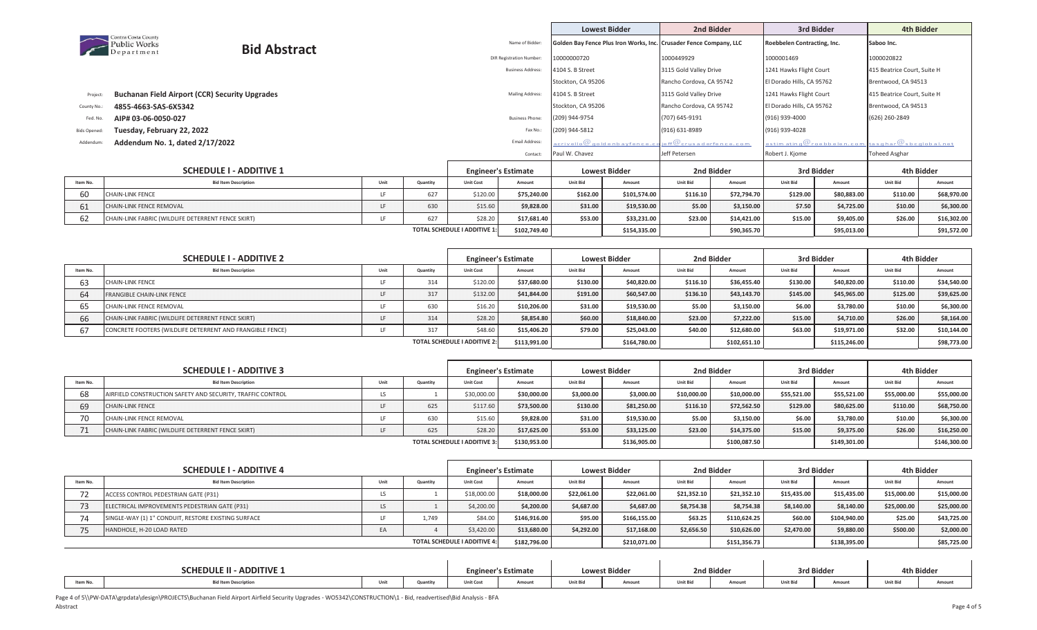|                    |                                                                   |                        |                              |                            |                                 |                    | <b>Lowest Bidder</b>                                               |                          | 2nd Bidder          |                             | 3rd Bidder                                                 |                             | 4th Bidder  |
|--------------------|-------------------------------------------------------------------|------------------------|------------------------------|----------------------------|---------------------------------|--------------------|--------------------------------------------------------------------|--------------------------|---------------------|-----------------------------|------------------------------------------------------------|-----------------------------|-------------|
|                    | Contra Costa County<br><b>Public Works</b><br><b>Bid Abstract</b> |                        |                              |                            | Name of Bidder:                 |                    | Golden Bay Fence Plus Iron Works, Inc. Crusader Fence Company, LLC |                          |                     | Roebbelen Contracting, Inc. |                                                            | Saboo Inc.                  |             |
|                    | Department                                                        |                        |                              |                            | <b>DIR Registration Number:</b> | 10000000720        |                                                                    | 1000449929               |                     | 1000001469                  |                                                            | 1000020822                  |             |
|                    |                                                                   |                        |                              |                            | <b>Business Address:</b>        | 4104 S. B Street   |                                                                    | 3115 Gold Valley Drive   |                     | 1241 Hawks Flight Court     |                                                            | 415 Beatrice Court, Suite H |             |
|                    |                                                                   |                        |                              |                            |                                 | Stockton, CA 95206 |                                                                    | Rancho Cordova, CA 95742 |                     | El Dorado Hills, CA 95762   |                                                            | Brentwood, CA 94513         |             |
| Project            | <b>Buchanan Field Airport (CCR) Security Upgrades</b>             |                        |                              |                            | Mailing Address:                | 4104 S. B Street   |                                                                    | 3115 Gold Valley Drive   |                     | 1241 Hawks Flight Court     |                                                            | 415 Beatrice Court, Suite H |             |
| County No.         | 4855-4663-SAS-6X5342                                              |                        | Stockton, CA 95206           |                            | Rancho Cordova, CA 95742        |                    | El Dorado Hills, CA 95762                                          |                          | Brentwood, CA 94513 |                             |                                                            |                             |             |
| Fed. No.           | AIP# 03-06-0050-027                                               | <b>Business Phone:</b> | (209) 944-9754               |                            | (707) 645-9191                  |                    | (916) 939-4000                                                     |                          | (626) 260-2849      |                             |                                                            |                             |             |
| <b>Bids Opened</b> | Tuesday, February 22, 2022                                        |                        |                              |                            | Fax No.:                        | (209) 944-5812     |                                                                    | (916) 631-8989           |                     | (916) 939-4028              |                                                            |                             |             |
| Addendun           | Addendum No. 1, dated 2/17/2022                                   |                        |                              |                            | Email Address:                  |                    | acrivello $@$ golden bay fence, compared to $@$                    | jeff@crusaderfence.com   |                     |                             | estimating $@$ roebbelen.com $ $ tasghar $@$ sbcglobal.net |                             |             |
|                    |                                                                   |                        |                              |                            | Contact:                        | Paul W. Chavez     |                                                                    | Jeff Petersen            |                     | Robert J. Kjome             |                                                            | Toheed Asghar               |             |
|                    | <b>SCHEDULE I - ADDITIVE 1</b>                                    |                        |                              | <b>Engineer's Estimate</b> |                                 |                    | <b>Lowest Bidder</b>                                               |                          | 2nd Bidder          |                             | 3rd Bidder                                                 |                             | 4th Bidder  |
| Item No.           | <b>Bid Item Description</b>                                       | Unit                   | Quantity                     | <b>Unit Cost</b>           | Amount                          | <b>Unit Bid</b>    | Amount                                                             | <b>Unit Bid</b>          | Amount              | <b>Unit Bid</b>             | Amount                                                     | <b>Unit Bid</b>             | Amount      |
| 60                 | <b>CHAIN-LINK FENCE</b>                                           | LE.                    | 627                          | \$120.00                   | \$75,240.00                     | \$162.00           | \$101,574.00                                                       | \$116.10                 | \$72,794.70         | \$129.00                    | \$80,883.00                                                | \$110.00                    | \$68,970.00 |
| 61                 | CHAIN-LINK FENCE REMOVAL                                          | LF.                    | 630                          | \$15.60                    | \$9,828.00                      | \$31.00            | \$19,530.00                                                        | \$5.00                   | \$3,150.00          | \$7.50                      | \$4,725.00                                                 | \$10.00                     | \$6,300.00  |
| 62                 | CHAIN-LINK FABRIC (WILDLIFE DETERRENT FENCE SKIRT)                | LF.                    | 627                          | \$28.20                    | \$17,681.40                     | \$53.00            | \$33,231.00                                                        | \$23.00                  | \$14,421.00         | \$15.00                     | \$9,405.00                                                 | \$26.00                     | \$16,302.00 |
|                    |                                                                   |                        | TOTAL SCHEDULE I ADDITIVE 1: | \$102,749.40               |                                 | \$154,335.00       |                                                                    | \$90,365.70              |                     | \$95,013.00                 |                                                            | \$91,572.00                 |             |

|                                     | <b>SCHEDULE I - ADDITIVE 2</b>                            |      | <b>Engineer's Estimate</b> |                  |             | <b>Lowest Bidder</b> |              | 2nd Bidder      |              | 3rd Bidder      |              | 4th Bidder      |             |
|-------------------------------------|-----------------------------------------------------------|------|----------------------------|------------------|-------------|----------------------|--------------|-----------------|--------------|-----------------|--------------|-----------------|-------------|
| Item No.                            | <b>Bid Item Description</b>                               | Unit | Quantity                   | <b>Unit Cost</b> | Amount      | <b>Unit Bid</b>      | Amount       | <b>Unit Bid</b> | Amount       | <b>Unit Bid</b> | Amount       | <b>Unit Bid</b> | Amount      |
|                                     | <b>CHAIN-LINK FENCE</b>                                   |      | 314                        | \$120.00         | \$37,680.00 | \$130.00             | \$40.820.00  | \$116.10        | \$36,455.40  | \$130.00        | \$40,820.00  | \$110.00        | \$34,540.00 |
|                                     | <b>FRANGIBLE CHAIN-LINK FENCE</b>                         |      | 317                        | \$132.00         | \$41,844.00 | \$191.00             | \$60,547.00  | \$136.10        | \$43,143.70  | \$145.00        | \$45,965.00  | \$125.00        | \$39,625.00 |
|                                     | CHAIN-LINK FENCE REMOVAL                                  |      | 630                        | \$16.20          | \$10,206.00 | \$31.00              | \$19,530.00  | \$5.00          | \$3.150.00   | \$6.00          | \$3,780.00   | \$10.00         | \$6,300.00  |
|                                     | CHAIN-LINK FABRIC (WILDLIFE DETERRENT FENCE SKIRT)        |      | 314                        | \$28.20          | \$8,854.80  | \$60.00              | \$18,840.00  | \$23.00         | \$7.222.00   | \$15.00         | \$4,710.00   | \$26.00         | \$8,164.00  |
|                                     | CONCRETE FOOTERS (WILDLIFE DETERRENT AND FRANGIBLE FENCE) |      | 317                        | \$48.60          | \$15,406.20 | \$79.00              | \$25.043.00  | \$40.00         | \$12,680.00  | \$63.00         | \$19,971.00  | \$32.00         | \$10.144.00 |
| <b>TOTAL SCHEDULE I ADDITIVE 2:</b> |                                                           |      |                            |                  |             |                      | \$164,780.00 |                 | \$102,651.10 |                 | \$115,246.00 |                 | \$98,773.00 |

|                                     | <b>SCHEDULE I - ADDITIVE 3</b>                             |      |          | <b>Engineer's Estimate</b> |             | <b>Lowest Bidder</b> |              | 2nd Bidder      |              | 3rd Bidder      |              | 4th Bidder      |              |
|-------------------------------------|------------------------------------------------------------|------|----------|----------------------------|-------------|----------------------|--------------|-----------------|--------------|-----------------|--------------|-----------------|--------------|
| Item No.                            | <b>Bid Item Description</b>                                | Unit | Quantity | <b>Unit Cost</b>           | Amount      | <b>Unit Bid</b>      | Amount       | <b>Unit Bid</b> | Amount       | <b>Unit Bid</b> | Amount       | <b>Unit Bid</b> | Amount       |
|                                     | AIRFIELD CONSTRUCTION SAFETY AND SECURITY, TRAFFIC CONTROL | LS   |          | \$30,000.00                | \$30,000.00 | \$3,000.00           | \$3,000.00   | \$10,000,00     | \$10,000.00  | \$55,521.00     | \$55,521.00  | \$55,000.00     | \$55,000.00  |
|                                     | <b>CHAIN-LINK FENCE</b>                                    |      | 625      | \$117.60                   | \$73,500.00 | \$130.00             | \$81,250.00  | \$116.10        | \$72,562.50  | \$129.00        | \$80,625.00  | \$110.00        | \$68,750.00  |
|                                     | CHAIN-LINK FENCE REMOVAL                                   |      | 630      | \$15.60                    | \$9,828.00  | \$31.00              | \$19,530.00  | \$5.00          | \$3,150.00   | \$6.00          | \$3,780.00   | \$10.00         | \$6,300.00   |
|                                     | CHAIN-LINK FABRIC (WILDLIFE DETERRENT FENCE SKIRT)         |      | 625      | \$28.20                    | \$17,625.00 | \$53.00              | \$33,125.00  | \$23.00         | \$14,375.00  | \$15.00         | \$9,375.00   | \$26.00         | \$16,250.00  |
| <b>TOTAL SCHEDULE I ADDITIVE 3:</b> |                                                            |      |          |                            |             |                      | \$136,905.00 |                 | \$100,087.50 |                 | \$149,301.00 |                 | \$146,300.00 |

|          | <b>SCHEDULE I - ADDITIVE 4</b>                      |              | <b>Engineer's Estimate</b> |                  |              | <b>Lowest Bidder</b> |              | 2nd Bidder      |              | 3rd Bidder      |              | 4th Bidder      |             |
|----------|-----------------------------------------------------|--------------|----------------------------|------------------|--------------|----------------------|--------------|-----------------|--------------|-----------------|--------------|-----------------|-------------|
| Item No. | <b>Bid Item Description</b>                         | Unit         | Quantity                   | <b>Unit Cost</b> | Amount       | <b>Unit Bid</b>      | Amount       | <b>Unit Bid</b> | Amount       | <b>Unit Bid</b> | Amount       | <b>Unit Bid</b> | Amount      |
|          | ACCESS CONTROL PEDESTRIAN GATE (P31)                | LS           |                            | \$18,000.00      | \$18,000.00  | \$22,061.00          | \$22.061.00  | \$21,352.10     | \$21,352.10  | \$15,435.00     | \$15,435.00  | \$15,000.00     | \$15,000.00 |
|          | ELECTRICAL IMPROVEMENTS PEDESTRIAN GATE (P31)       | LS           |                            | \$4,200.00       | \$4,200.00   | \$4,687.00           | \$4,687.00   | \$8,754.38      | \$8,754.38   | \$8,140.00      | \$8,140.00   | \$25,000.00     | \$25,000.00 |
|          | SINGLE-WAY (1) 1" CONDUIT, RESTORE EXISTING SURFACE |              | 1.749                      | \$84.00          | \$146.916.00 | \$95.00              | \$166.155.00 | \$63.25         | \$110.624.25 | \$60.00         | \$104,940.00 | \$25.00         | \$43.725.00 |
|          | HANDHOLE, H-20 LOAD RATED                           | EA           |                            | \$3,420.00       | \$13,680.00  | \$4,292.00           | \$17,168.00  | \$2,656.50      | \$10,626.00  | \$2,470.00      | \$9,880.00   | \$500.00        | \$2,000.00  |
|          |                                                     | \$182.796.00 |                            | \$210,071.00     |              | \$151,356.73         |              | \$138,395.00    |              | \$85,725.00     |              |                 |             |

|          | <b>SCHEDULE II - ADDITIVE 1</b> |      | Engin           | er's Estimate |       | <b>Lowest Bidder</b> |       | 2nd Bidder      |       | 3rd Bidder      |       | 4th Bidder      |       |
|----------|---------------------------------|------|-----------------|---------------|-------|----------------------|-------|-----------------|-------|-----------------|-------|-----------------|-------|
| Item No. | <b>Bid Item Description</b>     | Unit | <b>Ouantity</b> | Unit Cos.     | Amour | <b>Unit Bid</b>      | Amour | <b>Unit Bid</b> | Amour | <b>Unit Bid</b> | Amou. | <b>Unit Bid</b> | Amour |

Page 4 of 5\\PW-DATA\grpdata\design\PROJECTS\Buchanan Field Airport Airfield Security Upgrades - WO5342\CONSTRUCTION\1 - Bid, readvertised\Bid Analysis - BFA

Abstract